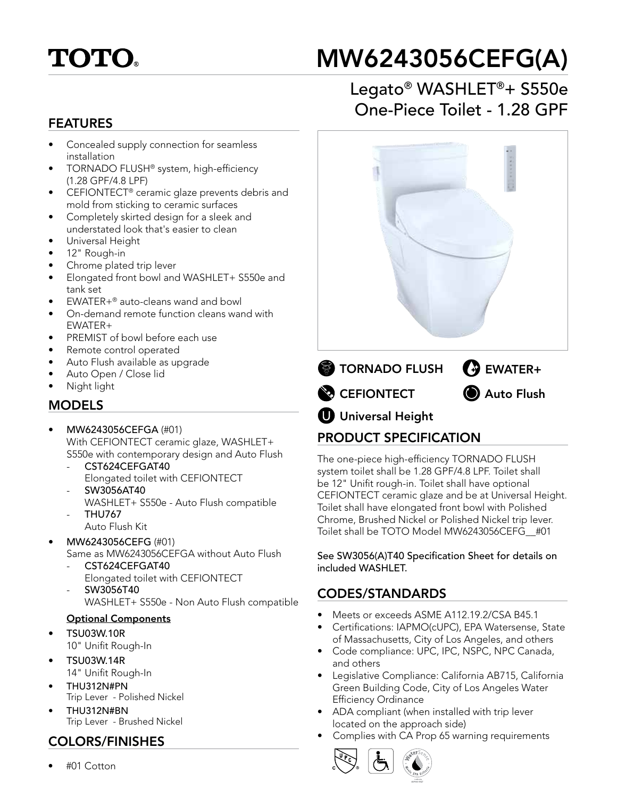## **TOTO**

# MW6243056CEFG(A)

#### FEATURES

- Concealed supply connection for seamless installation
- TORNADO FLUSH® system, high-efficiency (1.28 GPF/4.8 LPF)
- CEFIONTECT<sup>®</sup> ceramic glaze prevents debris and mold from sticking to ceramic surfaces
- Completely skirted design for a sleek and understated look that's easier to clean
- Universal Height
- 12" Rough-in
- Chrome plated trip lever
- Elongated front bowl and WASHLET+ S550e and tank set
- EWATER+® auto-cleans wand and bowl
- On-demand remote function cleans wand with EWATER+
- PREMIST of bowl before each use
- Remote control operated
- Auto Flush available as upgrade
- Auto Open / Close lid
- Night light

#### MODELS

- MW6243056CEFGA (#01) With CEFIONTECT ceramic glaze, WASHLET+ S550e with contemporary design and Auto Flush
	- CST624CEFGAT40
	- Elongated toilet with CEFIONTECT - SW3056AT40
	- WASHLET+ S550e Auto Flush compatible - THU767
	- Auto Flush Kit
- MW6243056CEFG (#01) Same as MW6243056CEFGA without Auto Flush
	- CST624CEFGAT40 Elongated toilet with CEFIONTECT
	- SW3056T40
		- WASHLET+ S550e Non Auto Flush compatible

#### Optional Components

- TSU03W.10R 10" Unifit Rough-In
- TSU03W.14R
- 14" Unifit Rough-In • THU312N#PN
- Trip Lever Polished Nickel
- THU312N#BN Trip Lever - Brushed Nickel

#### COLORS/FINISHES

• #01 Cotton

### Legato® WASHLET®+ S550e One-Piece Toilet - 1.28 GPF



#### PRODUCT SPECIFICATION

The one-piece high-efficiency TORNADO FLUSH system toilet shall be 1.28 GPF/4.8 LPF. Toilet shall be 12" Unifit rough-in. Toilet shall have optional CEFIONTECT ceramic glaze and be at Universal Height. Toilet shall have elongated front bowl with Polished Chrome, Brushed Nickel or Polished Nickel trip lever. Toilet shall be TOTO Model MW6243056CEFG\_\_#01

See SW3056(A)T40 Specification Sheet for details on included WASHLET.

#### CODES/STANDARDS

- Meets or exceeds ASME A112.19.2/CSA B45.1
- Certifications: IAPMO(cUPC), EPA Watersense, State of Massachusetts, City of Los Angeles, and others
- Code compliance: UPC, IPC, NSPC, NPC Canada, and others
- Legislative Compliance: California AB715, California Green Building Code, City of Los Angeles Water Efficiency Ordinance
- ADA compliant (when installed with trip lever located on the approach side)
- Complies with CA Prop 65 warning requirements